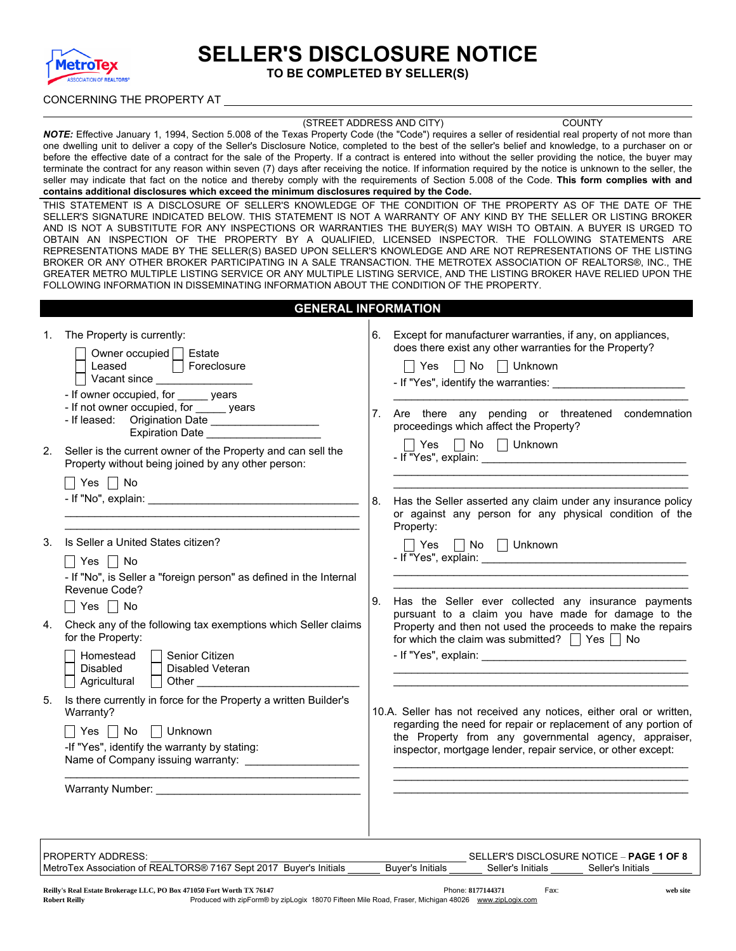

# SELLER'S DISCLOSURE NOTICE

TO BE COMPLETED BY SELLER(S)

#### CONCERNING THE PROPERTY AT

#### (STREET ADDRESS AND CITY) COUNTY

*NOTE:* Effective January 1, 1994, Section 5.008 of the Texas Property Code (the "Code") requires a seller of residential real property of not more than one dwelling unit to deliver a copy of the Seller's Disclosure Notice, completed to the best of the seller's belief and knowledge, to a purchaser on or before the effective date of a contract for the sale of the Property. If a contract is entered into without the seller providing the notice, the buyer may terminate the contract for any reason within seven (7) days after receiving the notice. If information required by the notice is unknown to the seller, the seller may indicate that fact on the notice and thereby comply with the requirements of Section 5.008 of the Code. This form complies with and contains additional disclosures which exceed the minimum disclosures required by the Code.

THIS STATEMENT IS A DISCLOSURE OF SELLER'S KNOWLEDGE OF THE CONDITION OF THE PROPERTY AS OF THE DATE OF THE SELLER'S SIGNATURE INDICATED BELOW. THIS STATEMENT IS NOT A WARRANTY OF ANY KIND BY THE SELLER OR LISTING BROKER AND IS NOT A SUBSTITUTE FOR ANY INSPECTIONS OR WARRANTIES THE BUYER(S) MAY WISH TO OBTAIN. A BUYER IS URGED TO OBTAIN AN INSPECTION OF THE PROPERTY BY A QUALIFIED, LICENSED INSPECTOR. THE FOLLOWING STATEMENTS ARE REPRESENTATIONS MADE BY THE SELLER(S) BASED UPON SELLER'S KNOWLEDGE AND ARE NOT REPRESENTATIONS OF THE LISTING BROKER OR ANY OTHER BROKER PARTICIPATING IN A SALE TRANSACTION. THE METROTEX ASSOCIATION OF REALTORS®, INC., THE GREATER METRO MULTIPLE LISTING SERVICE OR ANY MULTIPLE LISTING SERVICE, AND THE LISTING BROKER HAVE RELIED UPON THE FOLLOWING INFORMATION IN DISSEMINATING INFORMATION ABOUT THE CONDITION OF THE PROPERTY.

| The Property is currently:                                                                                                                                                                         |                                                                                                                              | 6. Except for manufacturer warranties, if any, on appliances,                                                                                                                                                                                                 |
|----------------------------------------------------------------------------------------------------------------------------------------------------------------------------------------------------|------------------------------------------------------------------------------------------------------------------------------|---------------------------------------------------------------------------------------------------------------------------------------------------------------------------------------------------------------------------------------------------------------|
| Owner occupied   Estate<br>Leased and all<br>Foreclosure                                                                                                                                           |                                                                                                                              | does there exist any other warranties for the Property?<br>■ Yes No Unknown<br>- If "Yes", identify the warranties:                                                                                                                                           |
| - If owner occupied, for ______ years<br>- If not owner occupied, for vears<br>- If leased: Origination Date                                                                                       | 7 <sub>1</sub>                                                                                                               | Are there any pending or threatened condemnation<br>proceedings which affect the Property?                                                                                                                                                                    |
| Seller is the current owner of the Property and can sell the<br>Property without being joined by any other person:                                                                                 |                                                                                                                              | $\Box$ Yes $\Box$ No $\Box$ Unknown                                                                                                                                                                                                                           |
| $\Box$ Yes $\Box$ No                                                                                                                                                                               |                                                                                                                              |                                                                                                                                                                                                                                                               |
|                                                                                                                                                                                                    | 8.                                                                                                                           | Has the Seller asserted any claim under any insurance policy<br>or against any person for any physical condition of the<br>Property:                                                                                                                          |
| Is Seller a United States citizen?                                                                                                                                                                 |                                                                                                                              | Yes No Unknown                                                                                                                                                                                                                                                |
| - If "No", is Seller a "foreign person" as defined in the Internal<br>Revenue Code?<br>Yes $\Box$ No                                                                                               | 9.                                                                                                                           | Has the Seller ever collected any insurance payments<br>pursuant to a claim you have made for damage to the<br>Property and then not used the proceeds to make the repairs                                                                                    |
| Senior Citizen<br>Homestead<br>Disabled<br>Disabled Veteran                                                                                                                                        |                                                                                                                              | for which the claim was submitted? $\Box$ Yes $\Box$ No                                                                                                                                                                                                       |
| Is there currently in force for the Property a written Builder's<br>Warranty?<br>Yes $\Box$ No $\Box$ Unknown<br>-If "Yes", identify the warranty by stating:<br>Name of Company issuing warranty: |                                                                                                                              | 10.A. Seller has not received any notices, either oral or written,<br>regarding the need for repair or replacement of any portion of<br>the Property from any governmental agency, appraiser,<br>inspector, mortgage lender, repair service, or other except: |
| Warranty Number: University of the University Orange and Security of the University Orange and Security of the U                                                                                   |                                                                                                                              |                                                                                                                                                                                                                                                               |
| 2.                                                                                                                                                                                                 | Expiration Date ______<br>  Yes  No<br>4. Check any of the following tax exemptions which Seller claims<br>for the Property: |                                                                                                                                                                                                                                                               |

PROPERTY ADDRESS: SELLER'S DISCLOSURE NOTICE – **PAGE 1 OF 8** MetroTex Association of REALTORS® 7167 Sept 2017 Buyer's Initials Buyer's Initials Seller's Initials Seller's Initials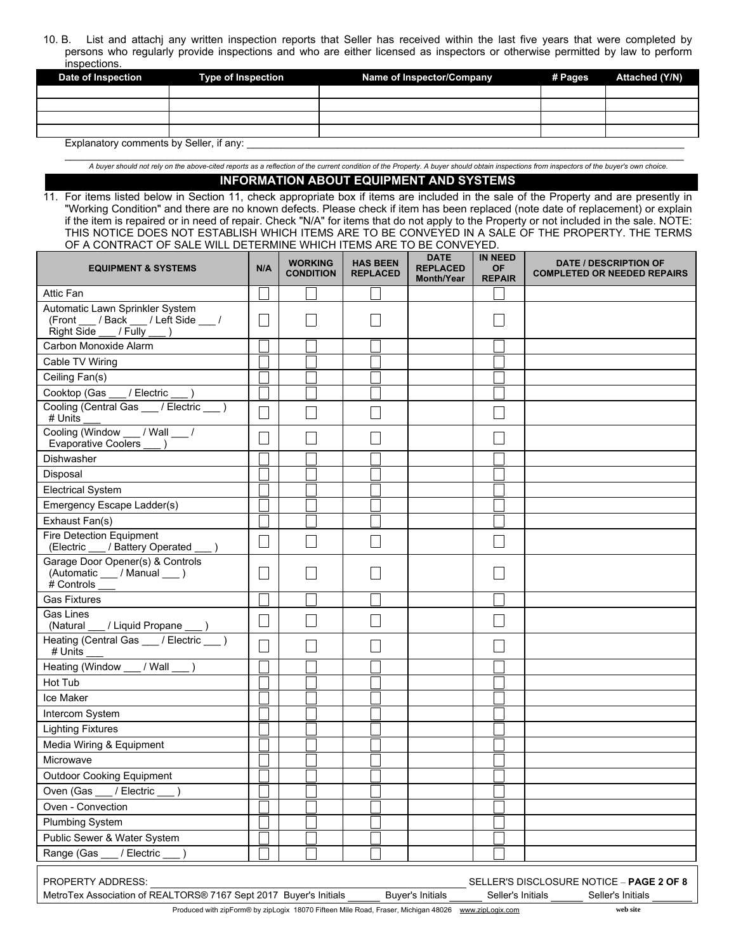10. B. List and attachj any written inspection reports that Seller has received within the last five years that were completed by persons who regularly provide inspections and who are either licensed as inspectors or otherwise permitted by law to perform inspections.

| Date of Inspection                      | <b>Type of Inspection</b> | Name of Inspector/Company | # Pages | Attached (Y/N) |  |  |  |  |
|-----------------------------------------|---------------------------|---------------------------|---------|----------------|--|--|--|--|
|                                         |                           |                           |         |                |  |  |  |  |
|                                         |                           |                           |         |                |  |  |  |  |
|                                         |                           |                           |         |                |  |  |  |  |
|                                         |                           |                           |         |                |  |  |  |  |
| Explanatory comments by Seller, if any: |                           |                           |         |                |  |  |  |  |

A buyer should not rely on the above-cited reports as a reflection of the current condition of the Property. A buyer should obtain inspections from inspectors of the buyer's own choice.

### INFORMATION ABOUT EQUIPMENT AND SYSTEMS

11. For items listed below in Section 11, check appropriate box if items are included in the sale of the Property and are presently in "Working Condition" and there are no known defects. Please check if item has been replaced (note date of replacement) or explain if the item is repaired or in need of repair. Check "N/A" for items that do not apply to the Property or not included in the sale. NOTE: THIS NOTICE DOES NOT ESTABLISH WHICH ITEMS ARE TO BE CONVEYED IN A SALE OF THE PROPERTY. THE TERMS OF A CONTRACT OF SALE WILL DETERMINE WHICH ITEMS ARE TO BE CONVEYED.

| <b>EQUIPMENT &amp; SYSTEMS</b>                                                                                                                                                                              | N/A           | <b>WORKING</b><br><b>CONDITION</b> | <b>HAS BEEN</b><br><b>REPLACED</b> | <b>DATE</b><br><b>REPLACED</b><br><b>Month/Year</b> | <b>IN NEED</b><br><b>OF</b><br><b>REPAIR</b> | <b>DATE / DESCRIPTION OF</b><br><b>COMPLETED OR NEEDED REPAIRS</b> |  |
|-------------------------------------------------------------------------------------------------------------------------------------------------------------------------------------------------------------|---------------|------------------------------------|------------------------------------|-----------------------------------------------------|----------------------------------------------|--------------------------------------------------------------------|--|
| <b>Attic Fan</b>                                                                                                                                                                                            |               |                                    |                                    |                                                     |                                              |                                                                    |  |
| Automatic Lawn Sprinkler System<br>(Front ___ / Back ___ / Left Side ___ /<br>$Right \overline{Side}$ / $Fully$ )                                                                                           |               |                                    |                                    |                                                     |                                              |                                                                    |  |
| Carbon Monoxide Alarm                                                                                                                                                                                       |               |                                    |                                    |                                                     |                                              |                                                                    |  |
| Cable TV Wiring                                                                                                                                                                                             |               |                                    |                                    |                                                     |                                              |                                                                    |  |
| Ceiling Fan(s)                                                                                                                                                                                              |               |                                    |                                    |                                                     |                                              |                                                                    |  |
| Cooktop (Gas ___ / Electric ___ )                                                                                                                                                                           |               |                                    |                                    |                                                     |                                              |                                                                    |  |
| Cooling (Central Gas ___ / Electric ___ )<br># Units                                                                                                                                                        |               |                                    |                                    |                                                     |                                              |                                                                    |  |
| Cooling (Window __ / Wall __ /<br>Evaporative Coolers __ )                                                                                                                                                  |               |                                    |                                    |                                                     |                                              |                                                                    |  |
| Dishwasher                                                                                                                                                                                                  |               |                                    |                                    |                                                     |                                              |                                                                    |  |
| Disposal                                                                                                                                                                                                    |               |                                    |                                    |                                                     |                                              |                                                                    |  |
| <b>Electrical System</b>                                                                                                                                                                                    |               |                                    |                                    |                                                     |                                              |                                                                    |  |
| Emergency Escape Ladder(s)                                                                                                                                                                                  |               |                                    |                                    |                                                     |                                              |                                                                    |  |
| Exhaust Fan(s)                                                                                                                                                                                              |               |                                    |                                    |                                                     |                                              |                                                                    |  |
| Fire Detection Equipment<br>(Electric ___ / Battery Operated                                                                                                                                                |               |                                    |                                    |                                                     |                                              |                                                                    |  |
| Garage Door Opener(s) & Controls<br>(Automatic ___ / Manual ___ )<br>$#$ Controls $\frac{1}{\sqrt{1-\frac{1}{2}}}\frac{1}{\sqrt{1-\frac{1}{2}}\sqrt{1-\frac{1}{2}}\sqrt{1-\frac{1}{2}}\sqrt{1-\frac{1}{2}}$ |               |                                    |                                    |                                                     |                                              |                                                                    |  |
| <b>Gas Fixtures</b>                                                                                                                                                                                         |               |                                    |                                    |                                                     |                                              |                                                                    |  |
| Gas Lines<br>(Natural __ / Liquid Propane __ )                                                                                                                                                              | $\mathcal{L}$ |                                    |                                    |                                                     |                                              |                                                                    |  |
| Heating (Central Gas ___ / Electric __ )<br># Units                                                                                                                                                         |               |                                    |                                    |                                                     |                                              |                                                                    |  |
| Heating (Window ___ / Wall ___ )                                                                                                                                                                            |               |                                    |                                    |                                                     |                                              |                                                                    |  |
| Hot Tub                                                                                                                                                                                                     |               |                                    |                                    |                                                     |                                              |                                                                    |  |
| Ice Maker                                                                                                                                                                                                   |               |                                    |                                    |                                                     |                                              |                                                                    |  |
| Intercom System                                                                                                                                                                                             |               |                                    |                                    |                                                     |                                              |                                                                    |  |
| <b>Lighting Fixtures</b>                                                                                                                                                                                    |               |                                    |                                    |                                                     |                                              |                                                                    |  |
| Media Wiring & Equipment                                                                                                                                                                                    |               |                                    |                                    |                                                     |                                              |                                                                    |  |
| Microwave                                                                                                                                                                                                   |               |                                    |                                    |                                                     |                                              |                                                                    |  |
| <b>Outdoor Cooking Equipment</b>                                                                                                                                                                            |               |                                    |                                    |                                                     |                                              |                                                                    |  |
| Oven (Gas ___ / Electric ___ )                                                                                                                                                                              |               |                                    |                                    |                                                     |                                              |                                                                    |  |
| Oven - Convection                                                                                                                                                                                           |               |                                    |                                    |                                                     |                                              |                                                                    |  |
| <b>Plumbing System</b>                                                                                                                                                                                      |               |                                    |                                    |                                                     |                                              |                                                                    |  |
| Public Sewer & Water System                                                                                                                                                                                 |               |                                    |                                    |                                                     |                                              |                                                                    |  |
| Range (Gas<br>/ Electric                                                                                                                                                                                    |               |                                    |                                    |                                                     |                                              |                                                                    |  |
| PROPERTY ADDRESS:<br>SELLER'S DISCLOSURE NOTICE - PAGE 2 OF 8<br>MetroTex Association of REALTORS® 7167 Sept 2017 Buyer's Initials<br><b>Buyer's Initials</b><br>Seller's Initials<br>Seller's Initials     |               |                                    |                                    |                                                     |                                              |                                                                    |  |

Produced with zipForm® by zipLogix 18070 Fifteen Mile Road, Fraser, Michigan 48026 www.zipLogix.com web site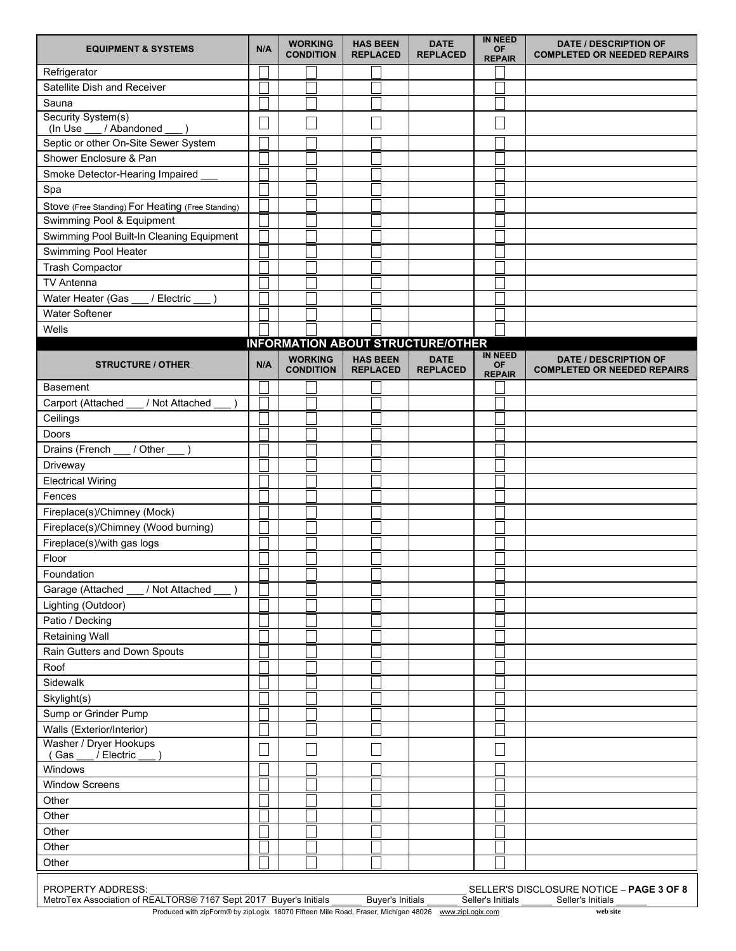| <b>EQUIPMENT &amp; SYSTEMS</b>                                                                                                                                                                                                                                           | N/A | <b>WORKING</b><br><b>CONDITION</b> | <b>HAS BEEN</b><br><b>REPLACED</b> | <b>DATE</b><br><b>REPLACED</b>           | <b>IN NEED</b><br><b>OF</b><br><b>REPAIR</b> | <b>DATE / DESCRIPTION OF</b><br><b>COMPLETED OR NEEDED REPAIRS</b> |  |
|--------------------------------------------------------------------------------------------------------------------------------------------------------------------------------------------------------------------------------------------------------------------------|-----|------------------------------------|------------------------------------|------------------------------------------|----------------------------------------------|--------------------------------------------------------------------|--|
| Refrigerator                                                                                                                                                                                                                                                             |     |                                    |                                    |                                          |                                              |                                                                    |  |
| Satellite Dish and Receiver                                                                                                                                                                                                                                              |     |                                    |                                    |                                          |                                              |                                                                    |  |
| Sauna                                                                                                                                                                                                                                                                    |     |                                    |                                    |                                          |                                              |                                                                    |  |
| Security System(s)<br>/ Abandoned<br>(In Use                                                                                                                                                                                                                             |     |                                    |                                    |                                          |                                              |                                                                    |  |
| Septic or other On-Site Sewer System                                                                                                                                                                                                                                     |     |                                    |                                    |                                          |                                              |                                                                    |  |
| Shower Enclosure & Pan                                                                                                                                                                                                                                                   |     |                                    |                                    |                                          |                                              |                                                                    |  |
| Smoke Detector-Hearing Impaired                                                                                                                                                                                                                                          |     |                                    |                                    |                                          |                                              |                                                                    |  |
|                                                                                                                                                                                                                                                                          |     |                                    |                                    |                                          |                                              |                                                                    |  |
| Spa                                                                                                                                                                                                                                                                      |     |                                    |                                    |                                          |                                              |                                                                    |  |
| Stove (Free Standing) For Heating (Free Standing)                                                                                                                                                                                                                        |     |                                    |                                    |                                          |                                              |                                                                    |  |
| Swimming Pool & Equipment                                                                                                                                                                                                                                                |     |                                    |                                    |                                          |                                              |                                                                    |  |
| Swimming Pool Built-In Cleaning Equipment                                                                                                                                                                                                                                |     |                                    |                                    |                                          |                                              |                                                                    |  |
| Swimming Pool Heater                                                                                                                                                                                                                                                     |     |                                    |                                    |                                          |                                              |                                                                    |  |
| <b>Trash Compactor</b>                                                                                                                                                                                                                                                   |     |                                    |                                    |                                          |                                              |                                                                    |  |
| TV Antenna                                                                                                                                                                                                                                                               |     |                                    |                                    |                                          |                                              |                                                                    |  |
| Water Heater (Gas<br>/ Electric                                                                                                                                                                                                                                          |     |                                    |                                    |                                          |                                              |                                                                    |  |
| Water Softener                                                                                                                                                                                                                                                           |     |                                    |                                    |                                          |                                              |                                                                    |  |
| Wells                                                                                                                                                                                                                                                                    |     |                                    |                                    |                                          |                                              |                                                                    |  |
|                                                                                                                                                                                                                                                                          |     |                                    |                                    | <b>INFORMATION ABOUT STRUCTURE/OTHER</b> |                                              |                                                                    |  |
| <b>STRUCTURE / OTHER</b>                                                                                                                                                                                                                                                 | N/A | <b>WORKING</b><br><b>CONDITION</b> | <b>HAS BEEN</b><br><b>REPLACED</b> | <b>DATE</b><br><b>REPLACED</b>           | <b>IN NEED</b><br>OF<br><b>REPAIR</b>        | <b>DATE / DESCRIPTION OF</b><br><b>COMPLETED OR NEEDED REPAIRS</b> |  |
| Basement                                                                                                                                                                                                                                                                 |     |                                    |                                    |                                          |                                              |                                                                    |  |
| Carport (Attached<br>/ Not Attached                                                                                                                                                                                                                                      |     |                                    |                                    |                                          |                                              |                                                                    |  |
| Ceilings                                                                                                                                                                                                                                                                 |     |                                    |                                    |                                          |                                              |                                                                    |  |
| Doors                                                                                                                                                                                                                                                                    |     |                                    |                                    |                                          |                                              |                                                                    |  |
| Drains (French<br>/ Other                                                                                                                                                                                                                                                |     |                                    |                                    |                                          |                                              |                                                                    |  |
| Driveway                                                                                                                                                                                                                                                                 |     |                                    |                                    |                                          |                                              |                                                                    |  |
| <b>Electrical Wiring</b>                                                                                                                                                                                                                                                 |     |                                    |                                    |                                          |                                              |                                                                    |  |
| Fences                                                                                                                                                                                                                                                                   |     |                                    |                                    |                                          |                                              |                                                                    |  |
| Fireplace(s)/Chimney (Mock)                                                                                                                                                                                                                                              |     |                                    |                                    |                                          |                                              |                                                                    |  |
| Fireplace(s)/Chimney (Wood burning)                                                                                                                                                                                                                                      |     |                                    |                                    |                                          |                                              |                                                                    |  |
| Fireplace(s)/with gas logs                                                                                                                                                                                                                                               |     |                                    |                                    |                                          |                                              |                                                                    |  |
| Floor                                                                                                                                                                                                                                                                    |     |                                    |                                    |                                          |                                              |                                                                    |  |
| Foundation                                                                                                                                                                                                                                                               |     |                                    |                                    |                                          |                                              |                                                                    |  |
| / Not Attached<br>Garage (Attached                                                                                                                                                                                                                                       |     |                                    |                                    |                                          |                                              |                                                                    |  |
| Lighting (Outdoor)                                                                                                                                                                                                                                                       |     |                                    |                                    |                                          |                                              |                                                                    |  |
| Patio / Decking                                                                                                                                                                                                                                                          |     |                                    |                                    |                                          |                                              |                                                                    |  |
| <b>Retaining Wall</b>                                                                                                                                                                                                                                                    |     |                                    |                                    |                                          |                                              |                                                                    |  |
| Rain Gutters and Down Spouts                                                                                                                                                                                                                                             |     |                                    |                                    |                                          |                                              |                                                                    |  |
| Roof                                                                                                                                                                                                                                                                     |     |                                    |                                    |                                          |                                              |                                                                    |  |
| Sidewalk                                                                                                                                                                                                                                                                 |     |                                    |                                    |                                          |                                              |                                                                    |  |
| Skylight(s)                                                                                                                                                                                                                                                              |     |                                    |                                    |                                          |                                              |                                                                    |  |
| Sump or Grinder Pump                                                                                                                                                                                                                                                     |     |                                    |                                    |                                          |                                              |                                                                    |  |
| Walls (Exterior/Interior)                                                                                                                                                                                                                                                |     |                                    |                                    |                                          |                                              |                                                                    |  |
| Washer / Dryer Hookups                                                                                                                                                                                                                                                   |     |                                    |                                    |                                          |                                              |                                                                    |  |
| / Electric<br>(Gas                                                                                                                                                                                                                                                       |     |                                    |                                    |                                          |                                              |                                                                    |  |
| Windows                                                                                                                                                                                                                                                                  |     |                                    |                                    |                                          |                                              |                                                                    |  |
| <b>Window Screens</b>                                                                                                                                                                                                                                                    |     |                                    |                                    |                                          |                                              |                                                                    |  |
| Other                                                                                                                                                                                                                                                                    |     |                                    |                                    |                                          |                                              |                                                                    |  |
| Other                                                                                                                                                                                                                                                                    |     |                                    |                                    |                                          |                                              |                                                                    |  |
| Other                                                                                                                                                                                                                                                                    |     |                                    |                                    |                                          |                                              |                                                                    |  |
| Other                                                                                                                                                                                                                                                                    |     |                                    |                                    |                                          |                                              |                                                                    |  |
| Other                                                                                                                                                                                                                                                                    |     |                                    |                                    |                                          |                                              |                                                                    |  |
| PROPERTY ADDRESS:<br>SELLER'S DISCLOSURE NOTICE - PAGE 3 OF 8<br>MetroTex Association of REALTORS® 7167 Sept 2017 Buyer's Initials<br><b>Buyer's Initials</b><br>Seller's Initials<br>Seller's Initials<br>$\odot$ by $\equiv$ and $\sim$ 40070 $\Box$<br>Mile Dead Free |     |                                    |                                    |                                          |                                              |                                                                    |  |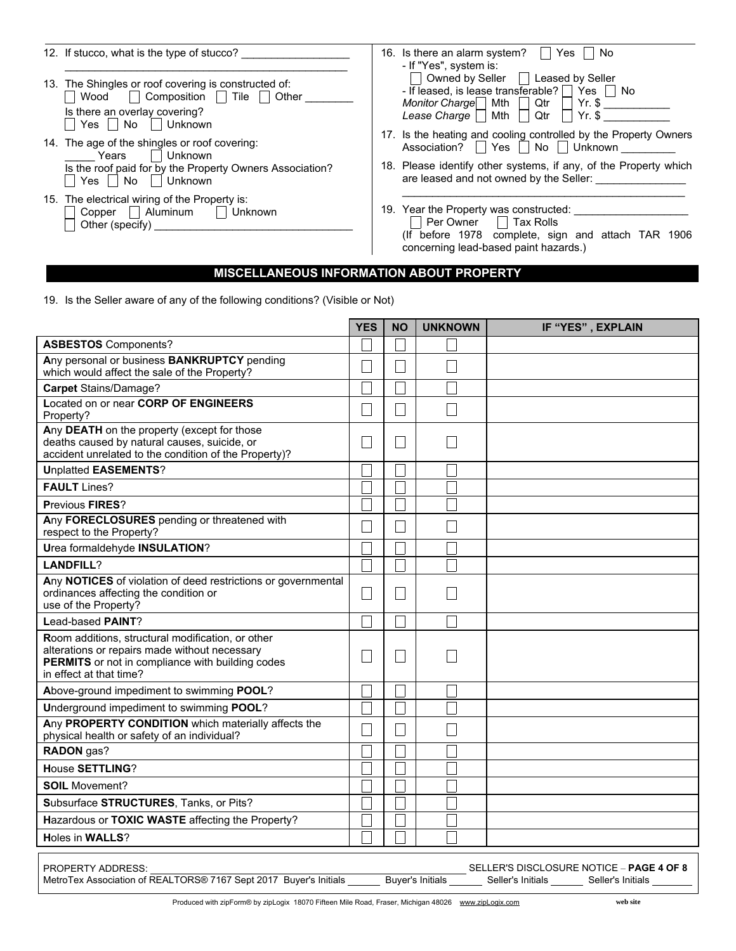| 12. If stucco, what is the type of stucco?                                                                                                                         | 16. Is there an alarm system?<br>No<br>Yes<br>- If "Yes", system is:                                                                                                                                                                         |
|--------------------------------------------------------------------------------------------------------------------------------------------------------------------|----------------------------------------------------------------------------------------------------------------------------------------------------------------------------------------------------------------------------------------------|
| 13. The Shingles or roof covering is constructed of:<br>$\Box$ Composition $\Box$ Tile<br>Other<br>Wood<br>Is there an overlay covering?<br>Unknown<br>l No<br>Yes | Owned by Seller  <br>Leased by Seller<br>$\blacksquare$<br>- If leased, is lease transferable? $\Box$<br>Yes     No<br>Monitor Charge   Mth<br>$Yr.$ \$<br>Qtr<br>$Yr.$ \$<br>Lease Charge $  $<br>Mth<br>Qtr                                |
| 14. The age of the shingles or roof covering:<br>Unknown<br>Years<br>Is the roof paid for by the Property Owners Association?<br>Unknown<br>No<br>Yes              | 17. Is the heating and cooling controlled by the Property Owners<br>No Unknown<br>$ $ Yes $ $<br>Association?<br>$\mathbf{L}$<br>18. Please identify other systems, if any, of the Property which<br>are leased and not owned by the Seller: |
| 15. The electrical wiring of the Property is:<br>Copper   Aluminum<br>Unknown<br>Other (specify)                                                                   | 19. Year the Property was constructed:<br>Per Owner $\Box$ Tax Rolls<br>(If before 1978 complete, sign and attach TAR 1906<br>concerning lead-based paint hazards.)                                                                          |

# MISCELLANEOUS INFORMATION ABOUT PROPERTY

19. Is the Seller aware of any of the following conditions? (Visible or Not)

|                                                                                                                                                                                                                | <b>YES</b> | <b>NO</b> | <b>UNKNOWN</b> | IF "YES", EXPLAIN |  |  |
|----------------------------------------------------------------------------------------------------------------------------------------------------------------------------------------------------------------|------------|-----------|----------------|-------------------|--|--|
| <b>ASBESTOS</b> Components?                                                                                                                                                                                    |            |           |                |                   |  |  |
| Any personal or business <b>BANKRUPTCY</b> pending<br>which would affect the sale of the Property?                                                                                                             |            |           |                |                   |  |  |
| <b>Carpet Stains/Damage?</b>                                                                                                                                                                                   |            |           |                |                   |  |  |
| Located on or near CORP OF ENGINEERS<br>Property?                                                                                                                                                              |            |           |                |                   |  |  |
| Any DEATH on the property (except for those<br>deaths caused by natural causes, suicide, or<br>accident unrelated to the condition of the Property)?                                                           |            |           |                |                   |  |  |
| <b>Unplatted EASEMENTS?</b>                                                                                                                                                                                    |            |           |                |                   |  |  |
| <b>FAULT</b> Lines?                                                                                                                                                                                            |            |           |                |                   |  |  |
| Previous FIRES?                                                                                                                                                                                                |            |           |                |                   |  |  |
| Any FORECLOSURES pending or threatened with<br>respect to the Property?                                                                                                                                        |            |           |                |                   |  |  |
| Urea formaldehyde INSULATION?                                                                                                                                                                                  |            |           |                |                   |  |  |
| <b>LANDFILL?</b>                                                                                                                                                                                               |            |           |                |                   |  |  |
| Any NOTICES of violation of deed restrictions or governmental<br>ordinances affecting the condition or<br>use of the Property?                                                                                 |            |           |                |                   |  |  |
| Lead-based PAINT?                                                                                                                                                                                              |            |           |                |                   |  |  |
| Room additions, structural modification, or other<br>alterations or repairs made without necessary<br>PERMITS or not in compliance with building codes<br>in effect at that time?                              |            |           |                |                   |  |  |
| Above-ground impediment to swimming POOL?                                                                                                                                                                      |            |           |                |                   |  |  |
| Underground impediment to swimming POOL?                                                                                                                                                                       |            |           |                |                   |  |  |
| Any PROPERTY CONDITION which materially affects the<br>physical health or safety of an individual?                                                                                                             |            |           |                |                   |  |  |
| RADON gas?                                                                                                                                                                                                     |            |           |                |                   |  |  |
| <b>House SETTLING?</b>                                                                                                                                                                                         |            |           |                |                   |  |  |
| <b>SOIL Movement?</b>                                                                                                                                                                                          |            |           |                |                   |  |  |
| Subsurface STRUCTURES, Tanks, or Pits?                                                                                                                                                                         |            |           |                |                   |  |  |
| Hazardous or TOXIC WASTE affecting the Property?                                                                                                                                                               |            |           |                |                   |  |  |
| Holes in WALLS?                                                                                                                                                                                                |            |           |                |                   |  |  |
| <b>PROPERTY ADDRESS:</b><br>SELLER'S DISCLOSURE NOTICE - PAGE 4 OF 8<br>MetroTex Association of REALTORS® 7167 Sept 2017 Buyer's Initials<br><b>Buver's Initials</b><br>Seller's Initials<br>Seller's Initials |            |           |                |                   |  |  |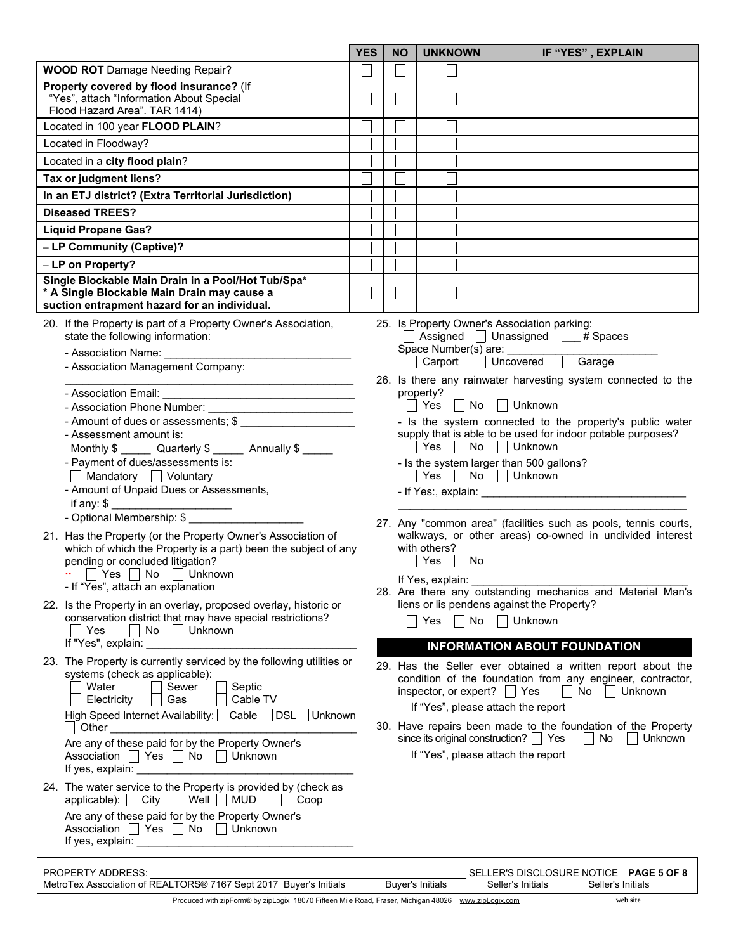| PROPERTY ADDRESS:                                                 |                         |                   | SELLER'S DISCLOSURE NOTICE - <b>PAGE 5 OF 8</b> |
|-------------------------------------------------------------------|-------------------------|-------------------|-------------------------------------------------|
| MetroTex Association of REALTORS® 7167 Sept 2017 Buyer's Initials | <b>Buver's Initials</b> | Seller's Initials | Seller's Initials                               |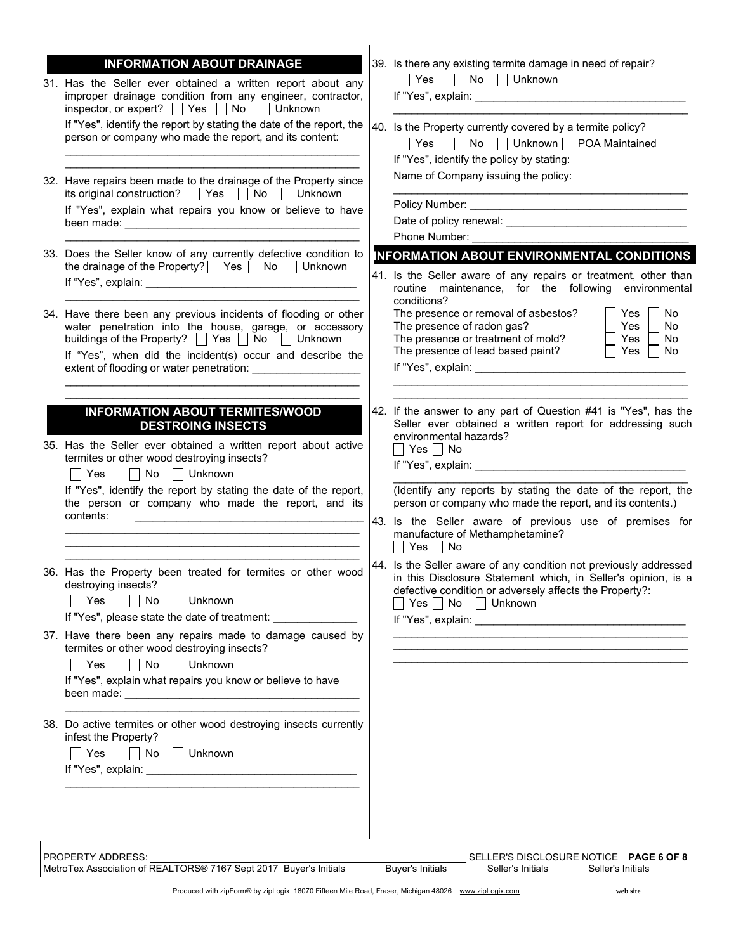| <b>INFORMATION ABOUT DRAINAGE</b><br>31. Has the Seller ever obtained a written report about any<br>improper drainage condition from any engineer, contractor,<br>inspector, or expert? $\Box$ Yes $\Box$ No $\Box$ Unknown<br>If "Yes", identify the report by stating the date of the report, the<br>person or company who made the report, and its content:<br>32. Have repairs been made to the drainage of the Property since<br>its original construction? $\Box$ Yes $\Box$ No $\Box$ Unknown<br>If "Yes", explain what repairs you know or believe to have<br>33. Does the Seller know of any currently defective condition to<br>the drainage of the Property? $\Box$ Yes $\Box$ No $\Box$ Unknown | 39. Is there any existing termite damage in need of repair?<br>$\Box$ Yes $\Box$ No $\Box$ Unknown<br>40. Is the Property currently covered by a termite policy?<br>□ No □ Unknown □ POA Maintained<br>∣ ∣ Yes<br>If "Yes", identify the policy by stating:<br>Name of Company issuing the policy:<br>Phone Number: _<br>INFORMATION ABOUT ENVIRONMENTAL CONDITIONS<br>41. Is the Seller aware of any repairs or treatment, other than                                                                                                                                                                                                                        |
|-------------------------------------------------------------------------------------------------------------------------------------------------------------------------------------------------------------------------------------------------------------------------------------------------------------------------------------------------------------------------------------------------------------------------------------------------------------------------------------------------------------------------------------------------------------------------------------------------------------------------------------------------------------------------------------------------------------|---------------------------------------------------------------------------------------------------------------------------------------------------------------------------------------------------------------------------------------------------------------------------------------------------------------------------------------------------------------------------------------------------------------------------------------------------------------------------------------------------------------------------------------------------------------------------------------------------------------------------------------------------------------|
| 34. Have there been any previous incidents of flooding or other<br>water penetration into the house, garage, or accessory<br>buildings of the Property? $\Box$ Yes $\Box$ No $\Box$<br>Unknown<br>If "Yes", when did the incident(s) occur and describe the                                                                                                                                                                                                                                                                                                                                                                                                                                                 | routine maintenance, for the following environmental<br>conditions?<br>The presence or removal of asbestos?<br>No.<br>Yes<br>The presence of radon gas?<br><b>Yes</b><br>No.<br>The presence or treatment of mold?<br>Yes<br>No.<br>The presence of lead based paint?<br>Yes<br>No                                                                                                                                                                                                                                                                                                                                                                            |
| <b>INFORMATION ABOUT TERMITES/WOOD</b><br><b>DESTROING INSECTS</b><br>35. Has the Seller ever obtained a written report about active<br>termites or other wood destroying insects?<br>No Unknown<br>$\vert$ Yes<br>If "Yes", identify the report by stating the date of the report,<br>the person or company who made the report, and its<br>contents:<br><u> 1989 - Johann Barbara, martin amerikan basal dan berasal dan berasal dalam basal dalam basal dalam basal dala</u>                                                                                                                                                                                                                             | 42. If the answer to any part of Question #41 is "Yes", has the<br>Seller ever obtained a written report for addressing such<br>environmental hazards?<br>$\Box$ Yes $\Box$ No<br>If "Yes", explain: Note that the set of the set of the set of the set of the set of the set of the set of the set of the set of the set of the set of the set of the set of the set of the set of the set of the set of the se<br>(Identify any reports by stating the date of the report, the<br>person or company who made the report, and its contents.)<br>43. Is the Seller aware of previous use of premises for<br>manufacture of Methamphetamine?<br>    Yes     No |
| 36. Has the Property been treated for termites or other wood<br>destroying insects?<br>$\Box$ No<br>∣ Yes<br>Unknown<br>If "Yes", please state the date of treatment:                                                                                                                                                                                                                                                                                                                                                                                                                                                                                                                                       | 44. Is the Seller aware of any condition not previously addressed<br>in this Disclosure Statement which, in Seller's opinion, is a<br>defective condition or adversely affects the Property?:<br>Yes No Unknown                                                                                                                                                                                                                                                                                                                                                                                                                                               |
| 37. Have there been any repairs made to damage caused by<br>termites or other wood destroying insects?<br>$\Box$ No $\Box$ Unknown<br>∣ Yes<br>If "Yes", explain what repairs you know or believe to have                                                                                                                                                                                                                                                                                                                                                                                                                                                                                                   |                                                                                                                                                                                                                                                                                                                                                                                                                                                                                                                                                                                                                                                               |
| 38. Do active termites or other wood destroying insects currently<br>infest the Property?<br>∣ Yes<br>$\vert$ No<br>Unknown<br>$\mathbf{L}$                                                                                                                                                                                                                                                                                                                                                                                                                                                                                                                                                                 |                                                                                                                                                                                                                                                                                                                                                                                                                                                                                                                                                                                                                                                               |
| <b>PROPERTY ADDRESS:</b><br>MetroTex Association of REALTORS® 7167 Sept 2017 Buyer's Initials                                                                                                                                                                                                                                                                                                                                                                                                                                                                                                                                                                                                               | SELLER'S DISCLOSURE NOTICE - PAGE 6 OF 8<br><b>Buyer's Initials</b><br>Seller's Initials<br>Seller's Initials                                                                                                                                                                                                                                                                                                                                                                                                                                                                                                                                                 |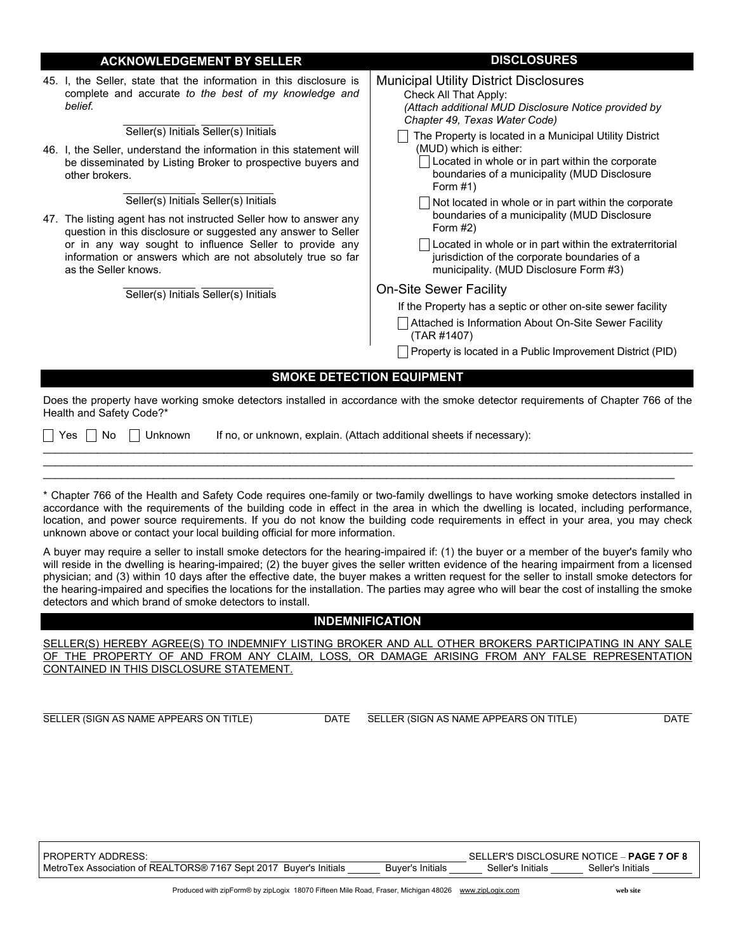|  | <b>ACKNOWLEDGEMENT BY SELLER</b>                                                                                                                                                                                                                                                                                                                                                                                                                                                                                                                                                    | <b>DISCLOSURES</b>                                                                                                                                                                                                                                                                                                                                                                                                                                                                           |  |  |  |  |
|--|-------------------------------------------------------------------------------------------------------------------------------------------------------------------------------------------------------------------------------------------------------------------------------------------------------------------------------------------------------------------------------------------------------------------------------------------------------------------------------------------------------------------------------------------------------------------------------------|----------------------------------------------------------------------------------------------------------------------------------------------------------------------------------------------------------------------------------------------------------------------------------------------------------------------------------------------------------------------------------------------------------------------------------------------------------------------------------------------|--|--|--|--|
|  | 45. I, the Seller, state that the information in this disclosure is<br>complete and accurate to the best of my knowledge and<br>belief.<br>Seller(s) Initials Seller(s) Initials<br>46. I, the Seller, understand the information in this statement will<br>be disseminated by Listing Broker to prospective buyers and<br>other brokers.<br>Seller(s) Initials Seller(s) Initials<br>47. The listing agent has not instructed Seller how to answer any<br>question in this disclosure or suggested any answer to Seller<br>or in any way sought to influence Seller to provide any | <b>Municipal Utility District Disclosures</b><br>Check All That Apply:<br>(Attach additional MUD Disclosure Notice provided by<br>Chapter 49, Texas Water Code)<br>The Property is located in a Municipal Utility District<br>(MUD) which is either:<br>Located in whole or in part within the corporate<br>boundaries of a municipality (MUD Disclosure<br>Form $#1)$<br>Not located in whole or in part within the corporate<br>boundaries of a municipality (MUD Disclosure<br>Form $#2)$ |  |  |  |  |
|  | information or answers which are not absolutely true so far<br>as the Seller knows.<br>Seller(s) Initials Seller(s) Initials                                                                                                                                                                                                                                                                                                                                                                                                                                                        | Located in whole or in part within the extraterritorial<br>jurisdiction of the corporate boundaries of a<br>municipality. (MUD Disclosure Form #3)                                                                                                                                                                                                                                                                                                                                           |  |  |  |  |
|  |                                                                                                                                                                                                                                                                                                                                                                                                                                                                                                                                                                                     | <b>On-Site Sewer Facility</b>                                                                                                                                                                                                                                                                                                                                                                                                                                                                |  |  |  |  |
|  |                                                                                                                                                                                                                                                                                                                                                                                                                                                                                                                                                                                     | If the Property has a septic or other on-site sewer facility                                                                                                                                                                                                                                                                                                                                                                                                                                 |  |  |  |  |
|  |                                                                                                                                                                                                                                                                                                                                                                                                                                                                                                                                                                                     | Attached is Information About On-Site Sewer Facility<br>(TAR #1407)                                                                                                                                                                                                                                                                                                                                                                                                                          |  |  |  |  |
|  |                                                                                                                                                                                                                                                                                                                                                                                                                                                                                                                                                                                     | Property is located in a Public Improvement District (PID)                                                                                                                                                                                                                                                                                                                                                                                                                                   |  |  |  |  |
|  | <b>SMOKE DETECTION EQUIPMENT</b>                                                                                                                                                                                                                                                                                                                                                                                                                                                                                                                                                    |                                                                                                                                                                                                                                                                                                                                                                                                                                                                                              |  |  |  |  |

Does the property have working smoke detectors installed in accordance with the smoke detector requirements of Chapter 766 of the Health and Safety Code?\*

 $\mathcal{L}_\mathcal{L} = \mathcal{L}_\mathcal{L} = \mathcal{L}_\mathcal{L} = \mathcal{L}_\mathcal{L} = \mathcal{L}_\mathcal{L} = \mathcal{L}_\mathcal{L} = \mathcal{L}_\mathcal{L} = \mathcal{L}_\mathcal{L} = \mathcal{L}_\mathcal{L} = \mathcal{L}_\mathcal{L} = \mathcal{L}_\mathcal{L} = \mathcal{L}_\mathcal{L} = \mathcal{L}_\mathcal{L} = \mathcal{L}_\mathcal{L} = \mathcal{L}_\mathcal{L} = \mathcal{L}_\mathcal{L} = \mathcal{L}_\mathcal{L}$  $\mathcal{L}_\mathcal{L} = \mathcal{L}_\mathcal{L} = \mathcal{L}_\mathcal{L} = \mathcal{L}_\mathcal{L} = \mathcal{L}_\mathcal{L} = \mathcal{L}_\mathcal{L} = \mathcal{L}_\mathcal{L} = \mathcal{L}_\mathcal{L} = \mathcal{L}_\mathcal{L} = \mathcal{L}_\mathcal{L} = \mathcal{L}_\mathcal{L} = \mathcal{L}_\mathcal{L} = \mathcal{L}_\mathcal{L} = \mathcal{L}_\mathcal{L} = \mathcal{L}_\mathcal{L} = \mathcal{L}_\mathcal{L} = \mathcal{L}_\mathcal{L}$  $\mathcal{L}_\mathcal{L} = \mathcal{L}_\mathcal{L} = \mathcal{L}_\mathcal{L} = \mathcal{L}_\mathcal{L} = \mathcal{L}_\mathcal{L} = \mathcal{L}_\mathcal{L} = \mathcal{L}_\mathcal{L} = \mathcal{L}_\mathcal{L} = \mathcal{L}_\mathcal{L} = \mathcal{L}_\mathcal{L} = \mathcal{L}_\mathcal{L} = \mathcal{L}_\mathcal{L} = \mathcal{L}_\mathcal{L} = \mathcal{L}_\mathcal{L} = \mathcal{L}_\mathcal{L} = \mathcal{L}_\mathcal{L} = \mathcal{L}_\mathcal{L}$ 

 $\Box$  Yes  $\Box$  No  $\Box$  Unknown If no, or unknown, explain. (Attach additional sheets if necessary):

\* Chapter 766 of the Health and Safety Code requires one-family or two-family dwellings to have working smoke detectors installed in accordance with the requirements of the building code in effect in the area in which the dwelling is located, including performance, location, and power source requirements. If you do not know the building code requirements in effect in your area, you may check unknown above or contact your local building official for more information.

A buyer may require a seller to install smoke detectors for the hearing-impaired if: (1) the buyer or a member of the buyer's family who will reside in the dwelling is hearing-impaired; (2) the buyer gives the seller written evidence of the hearing impairment from a licensed physician; and (3) within 10 days after the effective date, the buyer makes a written request for the seller to install smoke detectors for the hearing-impaired and specifies the locations for the installation. The parties may agree who will bear the cost of installing the smoke detectors and which brand of smoke detectors to install.

## INDEMNIFICATION

SELLER(S) HEREBY AGREE(S) TO INDEMNIFY LISTING BROKER AND ALL OTHER BROKERS PARTICIPATING IN ANY SALE OF THE PROPERTY OF AND FROM ANY CLAIM, LOSS, OR DAMAGE ARISING FROM ANY FALSE REPRESENTATION CONTAINED IN THIS DISCLOSURE STATEMENT.

SELLER (SIGN AS NAME APPEARS ON TITLE) DATE SELLER (SIGN AS NAME APPEARS ON TITLE) DATE

PROPERTY ADDRESS: SELLER'S DISCLOSURE NOTICE ‒ PAGE 7 OF 8 MetroTex Association of REALTORS® 7167 Sept 2017 Buyer's Initials Buyer's Initials Seller's Initials Seller's Initials